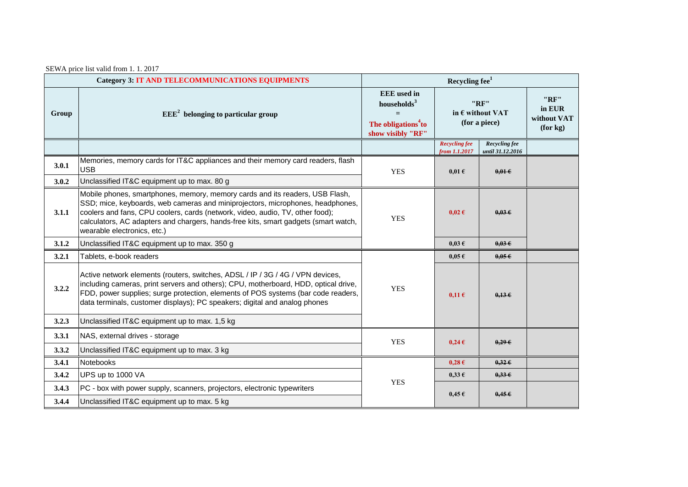SEWA price list valid from 1. 1. 2017

| <b>Category 3: IT AND TELECOMMUNICATIONS EQUIPMENTS</b> |                                                                                                                                                                                                                                                                                                                                                                       | Recycling fee <sup>1</sup>                                                                   |                                                    |                                   |                                           |
|---------------------------------------------------------|-----------------------------------------------------------------------------------------------------------------------------------------------------------------------------------------------------------------------------------------------------------------------------------------------------------------------------------------------------------------------|----------------------------------------------------------------------------------------------|----------------------------------------------------|-----------------------------------|-------------------------------------------|
| Group                                                   | $EEE2$ belonging to particular group                                                                                                                                                                                                                                                                                                                                  | <b>EEE</b> used in<br>households $3$<br>The obligations <sup>4</sup> to<br>show visibly "RF" | "RF"<br>in $\epsilon$ without VAT<br>(for a piece) |                                   | "RF"<br>in EUR<br>without VAT<br>(for kg) |
|                                                         |                                                                                                                                                                                                                                                                                                                                                                       |                                                                                              | <b>Recycling fee</b><br>from 1.1.2017              | Recycling fee<br>until 31.12.2016 |                                           |
| 3.0.1                                                   | Memories, memory cards for IT&C appliances and their memory card readers, flash<br><b>USB</b>                                                                                                                                                                                                                                                                         | <b>YES</b>                                                                                   | $0,01 \in$                                         | $0.01 \in$                        |                                           |
| 3.0.2                                                   | Unclassified IT&C equipment up to max. 80 g                                                                                                                                                                                                                                                                                                                           |                                                                                              |                                                    |                                   |                                           |
| 3.1.1                                                   | Mobile phones, smartphones, memory, memory cards and its readers, USB Flash,<br>SSD; mice, keyboards, web cameras and miniprojectors, microphones, headphones,<br>coolers and fans, CPU coolers, cards (network, video, audio, TV, other food);<br>calculators, AC adapters and chargers, hands-free kits, smart gadgets (smart watch,<br>wearable electronics, etc.) | <b>YES</b>                                                                                   | $0.02 \text{ } \in$                                | $0.03 \in$                        |                                           |
| 3.1.2                                                   | Unclassified IT&C equipment up to max. 350 g                                                                                                                                                                                                                                                                                                                          |                                                                                              | $0.03 \text{ }\epsilon$                            | $0.03 \in$                        |                                           |
| 3.2.1                                                   | Tablets, e-book readers                                                                                                                                                                                                                                                                                                                                               |                                                                                              | $0.05 \text{ }\epsilon$                            | 0.05E                             |                                           |
| 3.2.2                                                   | Active network elements (routers, switches, ADSL / IP / 3G / 4G / VPN devices,<br>including cameras, print servers and others); CPU, motherboard, HDD, optical drive,<br>FDD, power supplies; surge protection, elements of POS systems (bar code readers,<br>data terminals, customer displays); PC speakers; digital and analog phones                              | <b>YES</b>                                                                                   | $0,11 \in$                                         | 0,136                             |                                           |
| 3.2.3                                                   | Unclassified IT&C equipment up to max. 1,5 kg                                                                                                                                                                                                                                                                                                                         |                                                                                              |                                                    |                                   |                                           |
| 3.3.1                                                   | NAS, external drives - storage                                                                                                                                                                                                                                                                                                                                        | <b>YES</b>                                                                                   | $0,24 \in$                                         | $0,29$ $\in$                      |                                           |
| 3.3.2                                                   | Unclassified IT&C equipment up to max. 3 kg                                                                                                                                                                                                                                                                                                                           |                                                                                              |                                                    |                                   |                                           |
| 3.4.1                                                   | Notebooks                                                                                                                                                                                                                                                                                                                                                             | <b>YES</b>                                                                                   | $0.28 \text{ } \in$                                | $0,32 \in$                        |                                           |
| 3.4.2                                                   | UPS up to 1000 VA                                                                                                                                                                                                                                                                                                                                                     |                                                                                              | $0.33 \text{ } \epsilon$                           | $0,33 \in$                        |                                           |
| 3.4.3                                                   | PC - box with power supply, scanners, projectors, electronic typewriters                                                                                                                                                                                                                                                                                              |                                                                                              | $0.45 \in$                                         | $0,45 \in$                        |                                           |
| 3.4.4                                                   | Unclassified IT&C equipment up to max. 5 kg                                                                                                                                                                                                                                                                                                                           |                                                                                              |                                                    |                                   |                                           |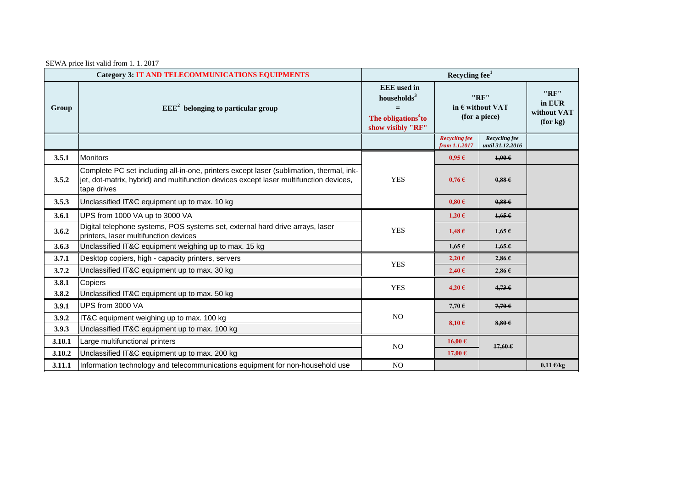SEWA price list valid from 1. 1. 2017

| <b>Category 3: IT AND TELECOMMUNICATIONS EQUIPMENTS</b> |                                                                                                                                                                                                  | Recycling fee <sup>1</sup>                                                                            |                                                    |                                   |                                           |
|---------------------------------------------------------|--------------------------------------------------------------------------------------------------------------------------------------------------------------------------------------------------|-------------------------------------------------------------------------------------------------------|----------------------------------------------------|-----------------------------------|-------------------------------------------|
| Group                                                   | $EEE2$ belonging to particular group                                                                                                                                                             | <b>EEE</b> used in<br>households <sup>3</sup><br>The obligations <sup>4</sup> to<br>show visibly "RF" | "RF"<br>in $\epsilon$ without VAT<br>(for a piece) |                                   | "RF"<br>in EUR<br>without VAT<br>(for kg) |
|                                                         |                                                                                                                                                                                                  |                                                                                                       | <b>Recycling fee</b><br>from 1.1.2017              | Recycling fee<br>until 31.12.2016 |                                           |
| 3.5.1                                                   | <b>Monitors</b>                                                                                                                                                                                  |                                                                                                       | $0.95 \in$                                         | $1,00 \in$                        |                                           |
| 3.5.2                                                   | Complete PC set including all-in-one, printers except laser (sublimation, thermal, ink-<br>jet, dot-matrix, hybrid) and multifunction devices except laser multifunction devices,<br>tape drives | <b>YES</b>                                                                                            | $0,76 \in$                                         | 0.88E                             |                                           |
| 3.5.3                                                   | Unclassified IT&C equipment up to max. 10 kg                                                                                                                                                     |                                                                                                       | $0,80 \in$                                         | 0.88E                             |                                           |
| 3.6.1                                                   | UPS from 1000 VA up to 3000 VA                                                                                                                                                                   | <b>YES</b>                                                                                            | $1,20 \in$                                         | $1.65 \text{ } \epsilon$          |                                           |
| 3.6.2                                                   | Digital telephone systems, POS systems set, external hard drive arrays, laser<br>printers, laser multifunction devices                                                                           |                                                                                                       | $1,48 \in$                                         | $1.65 \in$                        |                                           |
| 3.6.3                                                   | Unclassified IT&C equipment weighing up to max. 15 kg                                                                                                                                            |                                                                                                       | $1,65 \in$                                         | 1,656                             |                                           |
| 3.7.1                                                   | Desktop copiers, high - capacity printers, servers                                                                                                                                               | <b>YES</b>                                                                                            | 2,20€                                              | 2,866                             |                                           |
| 3.7.2                                                   | Unclassified IT&C equipment up to max. 30 kg                                                                                                                                                     |                                                                                                       | 2,40€                                              | 2,866                             |                                           |
| 3.8.1                                                   | Copiers                                                                                                                                                                                          | <b>YES</b>                                                                                            | 4,20€                                              | $4,73$ $\epsilon$                 |                                           |
| 3.8.2                                                   | Unclassified IT&C equipment up to max. 50 kg                                                                                                                                                     |                                                                                                       |                                                    |                                   |                                           |
| 3.9.1                                                   | UPS from 3000 VA                                                                                                                                                                                 | NO.                                                                                                   | 7,70 $\epsilon$                                    | $7,70$ $\epsilon$                 |                                           |
| 3.9.2                                                   | IT&C equipment weighing up to max. 100 kg                                                                                                                                                        |                                                                                                       | $8,10 \in$                                         | $8,80$ $6$                        |                                           |
| 3.9.3                                                   | Unclassified IT&C equipment up to max. 100 kg                                                                                                                                                    |                                                                                                       |                                                    |                                   |                                           |
| 3.10.1                                                  | Large multifunctional printers                                                                                                                                                                   | NO.                                                                                                   | 16,00€                                             | $17,60$ $\in$                     |                                           |
| 3.10.2                                                  | Unclassified IT&C equipment up to max. 200 kg                                                                                                                                                    |                                                                                                       | 17,00 $\epsilon$                                   |                                   |                                           |
| 3.11.1                                                  | Information technology and telecommunications equipment for non-household use                                                                                                                    | NO                                                                                                    |                                                    |                                   | $0,11 \text{ E/kg}$                       |